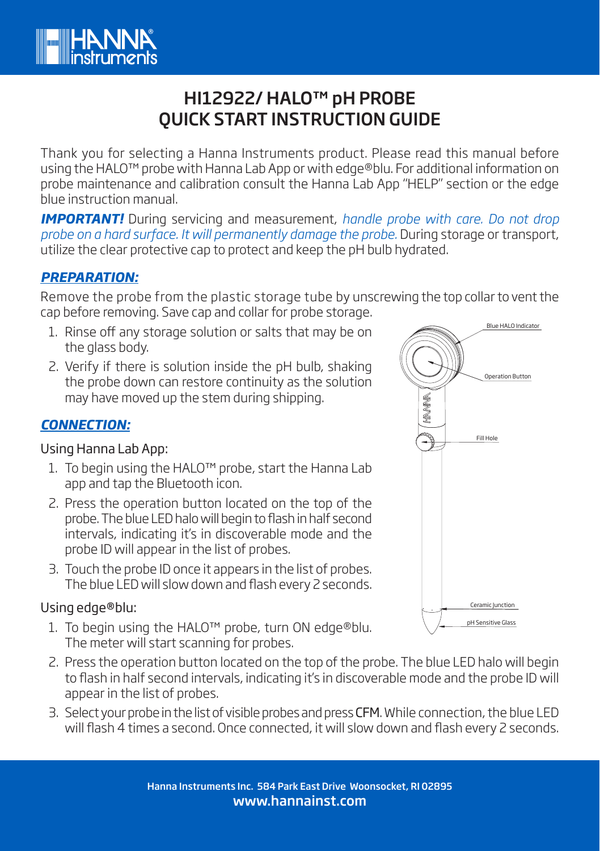

# HI12922/ HALO™ pH PROBE QUICK START INSTRUCTION GUIDE

Thank you for selecting a Hanna Instruments product. Please read this manual before using the HALO™ probe with Hanna Lab App or with edge®blu. For additional information on probe maintenance and calibration consult the Hanna Lab App "HELP" section or the edge blue instruction manual.

*IMPORTANT!* During servicing and measurement, *handle probe with care. Do not drop probe on a hard surface. It will permanently damage the probe.* During storage or transport, utilize the clear protective cap to protect and keep the pH bulb hydrated.

## *PREPARATION:*

Remove the probe from the plastic storage tube by unscrewing the top collar to vent the cap before removing. Save cap and collar for probe storage.

- 1. Rinse off any storage solution or salts that may be on the glass body.
- 2. Verify if there is solution inside the pH bulb, shaking the probe down can restore continuity as the solution may have moved up the stem during shipping.

# *CONNECTION:*

#### Using Hanna Lab App:

- 1. To begin using the HALO™ probe, start the Hanna Lab app and tap the Bluetooth icon.
- 2. Press the operation button located on the top of the probe. The blue LED halo will begin to flash in half second intervals, indicating it's in discoverable mode and the probe ID will appear in the list of probes.
- 3. Touch the probe ID once it appears in the list of probes. The blue LED will slow down and flash every 2 seconds.

### Using edge®blu:

- 1. To begin using the HALO™ probe, turn ON edge®blu. The meter will start scanning for probes.
- 2. Press the operation button located on the top of the probe. The blue LED halo will begin to flash in half second intervals, indicating it's in discoverable mode and the probe ID will appear in the list of probes.
- 3. Select your probe in the list of visible probes and press CFM. While connection, the blue LED will flash 4 times a second. Once connected, it will slow down and flash every 2 seconds.